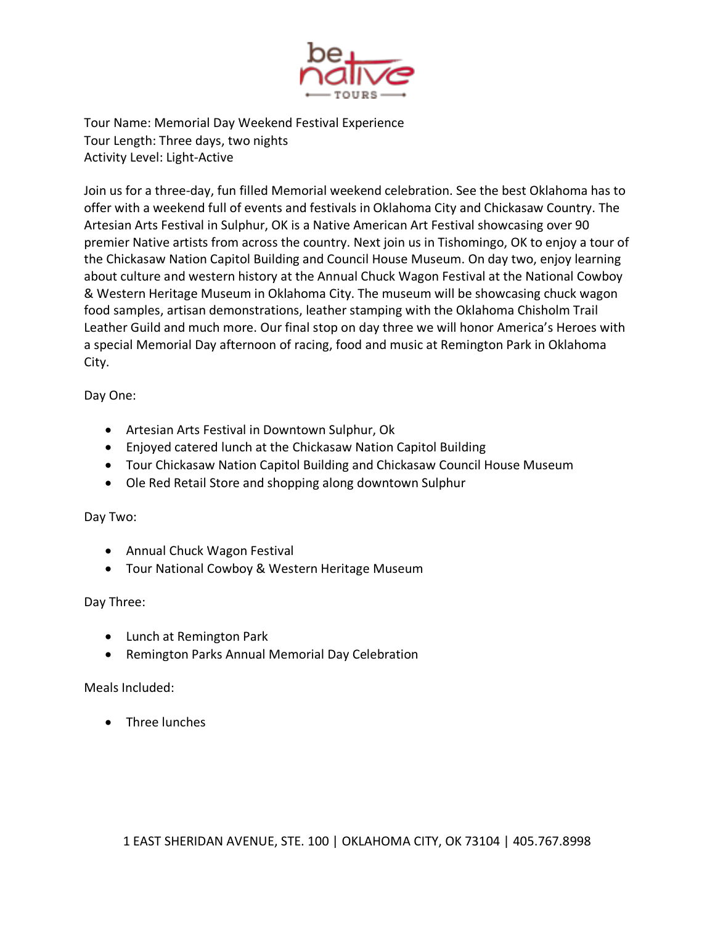

Tour Name: Memorial Day Weekend Festival Experience Tour Length: Three days, two nights Activity Level: Light-Active

Join us for a three-day, fun filled Memorial weekend celebration. See the best Oklahoma has to offer with a weekend full of events and festivals in Oklahoma City and Chickasaw Country. The Artesian Arts Festival in Sulphur, OK is a Native American Art Festival showcasing over 90 premier Native artists from across the country. Next join us in Tishomingo, OK to enjoy a tour of the Chickasaw Nation Capitol Building and Council House Museum. On day two, enjoy learning about culture and western history at the Annual Chuck Wagon Festival at the National Cowboy & Western Heritage Museum in Oklahoma City. The museum will be showcasing chuck wagon food samples, artisan demonstrations, leather stamping with the Oklahoma Chisholm Trail Leather Guild and much more. Our final stop on day three we will honor America's Heroes with a special Memorial Day afternoon of racing, food and music at Remington Park in Oklahoma City.

Day One:

- Artesian Arts Festival in Downtown Sulphur, Ok
- Enjoyed catered lunch at the Chickasaw Nation Capitol Building
- Tour Chickasaw Nation Capitol Building and Chickasaw Council House Museum
- Ole Red Retail Store and shopping along downtown Sulphur

## Day Two:

- Annual Chuck Wagon Festival
- Tour National Cowboy & Western Heritage Museum

## Day Three:

- Lunch at Remington Park
- Remington Parks Annual Memorial Day Celebration

## Meals Included:

• Three lunches